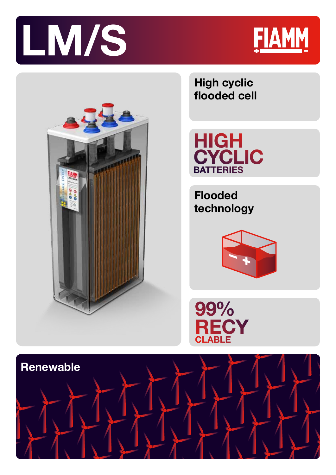



AGM

Technology

Casing



**High cyclic flooded cell** 

HIGH<br>CYCLIC<br>BATTERIES

**Flooded technology**



99% **RECY**